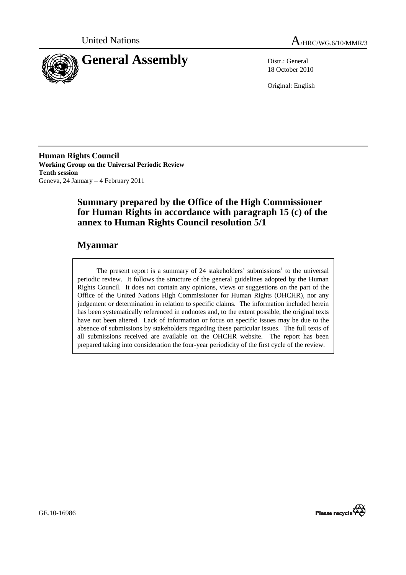



18 October 2010

Original: English

**Human Rights Council Working Group on the Universal Periodic Review Tenth session**  Geneva, 24 January – 4 February 2011

# **Summary prepared by the Office of the High Commissioner for Human Rights in accordance with paragraph 15 (c) of the annex to Human Rights Council resolution 5/1**

# **Myanmar**

The present report is a summary of 24 stakeholders' submissions<sup>1</sup> to the universal periodic review. It follows the structure of the general guidelines adopted by the Human Rights Council. It does not contain any opinions, views or suggestions on the part of the Office of the United Nations High Commissioner for Human Rights (OHCHR), nor any judgement or determination in relation to specific claims. The information included herein has been systematically referenced in endnotes and, to the extent possible, the original texts have not been altered. Lack of information or focus on specific issues may be due to the absence of submissions by stakeholders regarding these particular issues. The full texts of all submissions received are available on the OHCHR website. The report has been prepared taking into consideration the four-year periodicity of the first cycle of the review.

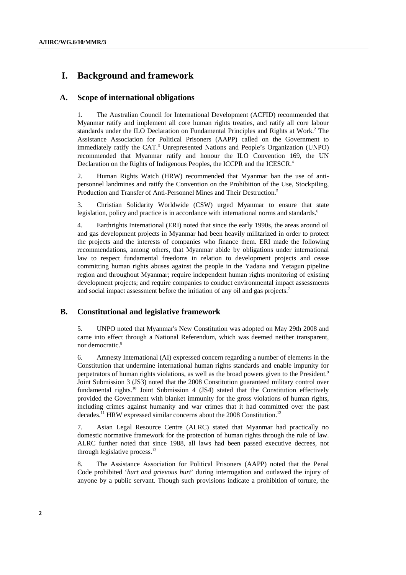# **I. Background and framework**

## **A. Scope of international obligations**

1. The Australian Council for International Development (ACFID) recommended that Myanmar ratify and implement all core human rights treaties, and ratify all core labour standards under the ILO Declaration on Fundamental Principles and Rights at Work.<sup>2</sup> The Assistance Association for Political Prisoners (AAPP) called on the Government to immediately ratify the CAT.<sup>3</sup> Unrepresented Nations and People's Organization (UNPO) recommended that Myanmar ratify and honour the ILO Convention 169, the UN Declaration on the Rights of Indigenous Peoples, the ICCPR and the ICESCR.<sup>4</sup>

2. Human Rights Watch (HRW) recommended that Myanmar ban the use of antipersonnel landmines and ratify the Convention on the Prohibition of the Use, Stockpiling, Production and Transfer of Anti-Personnel Mines and Their Destruction.<sup>5</sup>

3. Christian Solidarity Worldwide (CSW) urged Myanmar to ensure that state legislation, policy and practice is in accordance with international norms and standards.<sup>6</sup>

4. Earthrights International (ERI) noted that since the early 1990s, the areas around oil and gas development projects in Myanmar had been heavily militarized in order to protect the projects and the interests of companies who finance them. ERI made the following recommendations, among others, that Myanmar abide by obligations under international law to respect fundamental freedoms in relation to development projects and cease committing human rights abuses against the people in the Yadana and Yetagun pipeline region and throughout Myanmar; require independent human rights monitoring of existing development projects; and require companies to conduct environmental impact assessments and social impact assessment before the initiation of any oil and gas projects.<sup>7</sup>

## **B. Constitutional and legislative framework**

5. UNPO noted that Myanmar's New Constitution was adopted on May 29th 2008 and came into effect through a National Referendum, which was deemed neither transparent, nor democratic.<sup>8</sup>

6. Amnesty International (AI) expressed concern regarding a number of elements in the Constitution that undermine international human rights standards and enable impunity for perpetrators of human rights violations, as well as the broad powers given to the President.<sup>9</sup> Joint Submission 3 (JS3) noted that the 2008 Constitution guaranteed military control over fundamental rights.<sup>10</sup> Joint Submission 4 (JS4) stated that the Constitution effectively provided the Government with blanket immunity for the gross violations of human rights, including crimes against humanity and war crimes that it had committed over the past decades.<sup>11</sup> HRW expressed similar concerns about the 2008 Constitution.<sup>12</sup>

7. Asian Legal Resource Centre (ALRC) stated that Myanmar had practically no domestic normative framework for the protection of human rights through the rule of law. ALRC further noted that since 1988, all laws had been passed executive decrees, not through legislative process.<sup>13</sup>

8. The Assistance Association for Political Prisoners (AAPP) noted that the Penal Code prohibited '*hurt and grievous hurt*' during interrogation and outlawed the injury of anyone by a public servant. Though such provisions indicate a prohibition of torture, the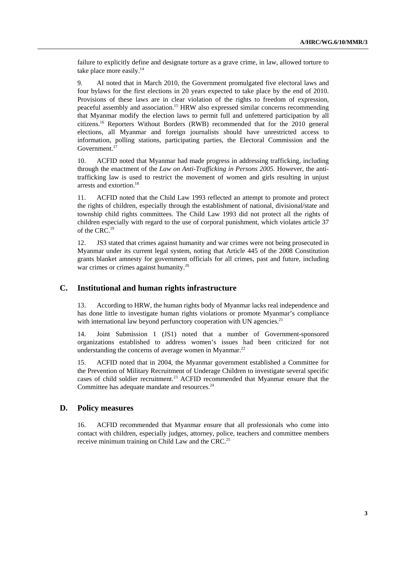failure to explicitly define and designate torture as a grave crime, in law, allowed torture to take place more easily.<sup>14</sup>

9. AI noted that in March 2010, the Government promulgated five electoral laws and four bylaws for the first elections in 20 years expected to take place by the end of 2010. Provisions of these laws are in clear violation of the rights to freedom of expression, peaceful assembly and association.15 HRW also expressed similar concerns recommending that Myanmar modify the election laws to permit full and unfettered participation by all citizens.16 Reporters Without Borders (RWB) recommended that for the 2010 general elections, all Myanmar and foreign journalists should have unrestricted access to information, polling stations, participating parties, the Electoral Commission and the Government.17

10. ACFID noted that Myanmar had made progress in addressing trafficking, including through the enactment of the *Law on Anti-Trafficking in Persons 2005.* However, the antitrafficking law is used to restrict the movement of women and girls resulting in unjust arrests and extortion.<sup>18</sup>

11. ACFID noted that the Child Law 1993 reflected an attempt to promote and protect the rights of children, especially through the establishment of national, divisional/state and township child rights committees. The Child Law 1993 did not protect all the rights of children especially with regard to the use of corporal punishment, which violates article 37 of the CRC.<sup>19</sup>

12. JS3 stated that crimes against humanity and war crimes were not being prosecuted in Myanmar under its current legal system, noting that Article 445 of the 2008 Constitution grants blanket amnesty for government officials for all crimes, past and future, including war crimes or crimes against humanity.<sup>20</sup>

## **C. Institutional and human rights infrastructure**

13. According to HRW, the human rights body of Myanmar lacks real independence and has done little to investigate human rights violations or promote Myanmar's compliance with international law beyond perfunctory cooperation with UN agencies. $^{21}$ 

14. Joint Submission 1 (JS1) noted that a number of Government-sponsored organizations established to address women's issues had been criticized for not understanding the concerns of average women in Myanmar.<sup>22</sup>

15. ACFID noted that in 2004, the Myanmar government established a Committee for the Prevention of Military Recruitment of Underage Children to investigate several specific cases of child soldier recruitment.<sup>23</sup> ACFID recommended that Myanmar ensure that the Committee has adequate mandate and resources.<sup>24</sup>

## **D. Policy measures**

16. ACFID recommended that Myanmar ensure that all professionals who come into contact with children, especially judges, attorney, police, teachers and committee members receive minimum training on Child Law and the CRC.<sup>25</sup>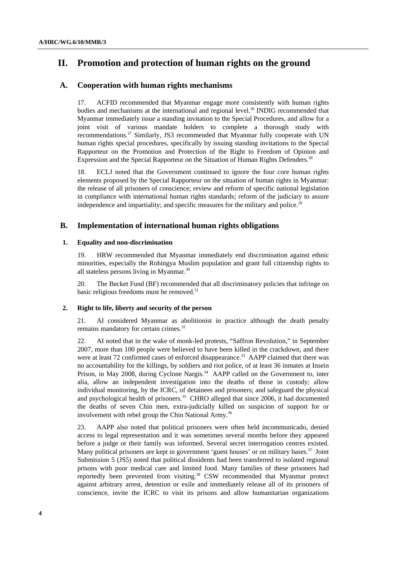# **II. Promotion and protection of human rights on the ground**

## **A. Cooperation with human rights mechanisms**

17. ACFID recommended that Myanmar engage more consistently with human rights bodies and mechanisms at the international and regional level.<sup>26</sup> INDIG recommended that Myanmar immediately issue a standing invitation to the Special Procedures, and allow for a joint visit of various mandate holders to complete a thorough study with recommendations.<sup>27</sup> Similarly, JS3 recommended that Myanmar fully cooperate with UN human rights special procedures, specifically by issuing standing invitations to the Special Rapporteur on the Promotion and Protection of the Right to Freedom of Opinion and Expression and the Special Rapporteur on the Situation of Human Rights Defenders.<sup>28</sup>

18. ECLJ noted that the Government continued to ignore the four core human rights elements proposed by the Special Rapporteur on the situation of human rights in Myanmar: the release of all prisoners of conscience; review and reform of specific national legislation in compliance with international human rights standards; reform of the judiciary to assure independence and impartiality; and specific measures for the military and police.<sup>29</sup>

## **B. Implementation of international human rights obligations**

### **1. Equality and non-discrimination**

19. HRW recommended that Myanmar immediately end discrimination against ethnic minorities, especially the Rohingya Muslim population and grant full citizenship rights to all stateless persons living in Myanmar.<sup>30</sup>

20. The Becket Fund (BF) recommended that all discriminatory policies that infringe on basic religious freedoms must be removed.<sup>31</sup>

### **2. Right to life, liberty and security of the person**

21. AI considered Myanmar as abolitionist in practice although the death penalty remains mandatory for certain crimes.<sup>32</sup>

22. AI noted that in the wake of monk-led protests, "Saffron Revolution," in September 2007, more than 100 people were believed to have been killed in the crackdown, and there were at least 72 confirmed cases of enforced disappearance.<sup>33</sup> AAPP claimed that there was no accountability for the killings, by soldiers and riot police, of at least 36 inmates at Insein Prison, in May 2008, during Cyclone Nargis.<sup>34</sup> AAPP called on the Government to, inter alia, allow an independent investigation into the deaths of those in custody; allow individual monitoring, by the ICRC, of detainees and prisoners; and safeguard the physical and psychological health of prisoners.<sup>35</sup> CHRO alleged that since 2006, it had documented the deaths of seven Chin men, extra-judicially killed on suspicion of support for or involvement with rebel group the Chin National Army.<sup>36</sup>

23. AAPP also noted that political prisoners were often held incommunicado, denied access to legal representation and it was sometimes several months before they appeared before a judge or their family was informed. Several secret interrogation centres existed. Many political prisoners are kept in government 'guest houses' or on military bases.<sup>37</sup> Joint Submission 5 (JS5) noted that political dissidents had been transferred to isolated regional prisons with poor medical care and limited food. Many families of these prisoners had reportedly been prevented from visiting.<sup>38</sup> CSW recommended that Myanmar protect against arbitrary arrest, detention or exile and immediately release all of its prisoners of conscience, invite the ICRC to visit its prisons and allow humanitarian organizations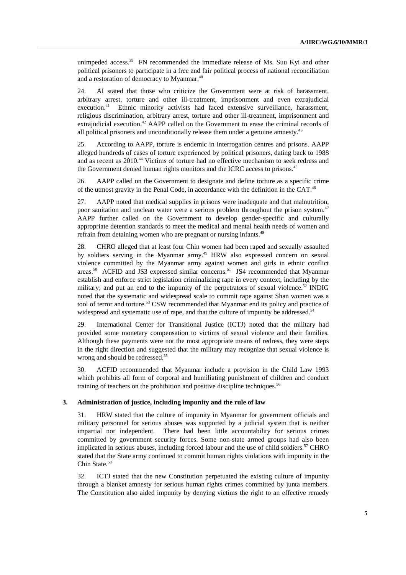unimpeded access.<sup>39</sup> FN recommended the immediate release of Ms. Suu Kyi and other political prisoners to participate in a free and fair political process of national reconciliation and a restoration of democracy to Myanmar.40

24. AI stated that those who criticize the Government were at risk of harassment, arbitrary arrest, torture and other ill-treatment, imprisonment and even extrajudicial execution.<sup>41</sup> Ethnic minority activists had faced extensive surveillance, harassment, religious discrimination, arbitrary arrest, torture and other ill-treatment, imprisonment and extrajudicial execution.<sup>42</sup> AAPP called on the Government to erase the criminal records of all political prisoners and unconditionally release them under a genuine amnesty.<sup>43</sup>

25. According to AAPP, torture is endemic in interrogation centres and prisons. AAPP alleged hundreds of cases of torture experienced by political prisoners, dating back to 1988 and as recent as 2010.<sup>44</sup> Victims of torture had no effective mechanism to seek redress and the Government denied human rights monitors and the ICRC access to prisons.<sup>45</sup>

26. AAPP called on the Government to designate and define torture as a specific crime of the utmost gravity in the Penal Code, in accordance with the definition in the CAT.<sup>46</sup>

27. AAPP noted that medical supplies in prisons were inadequate and that malnutrition, poor sanitation and unclean water were a serious problem throughout the prison system.<sup>47</sup> AAPP further called on the Government to develop gender-specific and culturally appropriate detention standards to meet the medical and mental health needs of women and refrain from detaining women who are pregnant or nursing infants.<sup>48</sup>

28. CHRO alleged that at least four Chin women had been raped and sexually assaulted by soldiers serving in the Myanmar army.<sup>49</sup> HRW also expressed concern on sexual violence committed by the Myanmar army against women and girls in ethnic conflict areas.50 ACFID and JS3 expressed similar concerns.51 JS4 recommended that Myanmar establish and enforce strict legislation criminalizing rape in every context, including by the military; and put an end to the impunity of the perpetrators of sexual violence.<sup>52</sup> INDIG noted that the systematic and widespread scale to commit rape against Shan women was a tool of terror and torture.<sup>53</sup> CSW recommended that Myanmar end its policy and practice of widespread and systematic use of rape, and that the culture of impunity be addressed.<sup>54</sup>

29. International Center for Transitional Justice (ICTJ) noted that the military had provided some monetary compensation to victims of sexual violence and their families. Although these payments were not the most appropriate means of redress, they were steps in the right direction and suggested that the military may recognize that sexual violence is wrong and should be redressed.<sup>55</sup>

30. ACFID recommended that Myanmar include a provision in the Child Law 1993 which prohibits all form of corporal and humiliating punishment of children and conduct training of teachers on the prohibition and positive discipline techniques.<sup>56</sup>

#### **3. Administration of justice, including impunity and the rule of law**

31. HRW stated that the culture of impunity in Myanmar for government officials and military personnel for serious abuses was supported by a judicial system that is neither impartial nor independent. There had been little accountability for serious crimes committed by government security forces. Some non-state armed groups had also been implicated in serious abuses, including forced labour and the use of child soldiers.<sup>57</sup> CHRO stated that the State army continued to commit human rights violations with impunity in the Chin State.<sup>58</sup>

32. ICTJ stated that the new Constitution perpetuated the existing culture of impunity through a blanket amnesty for serious human rights crimes committed by junta members. The Constitution also aided impunity by denying victims the right to an effective remedy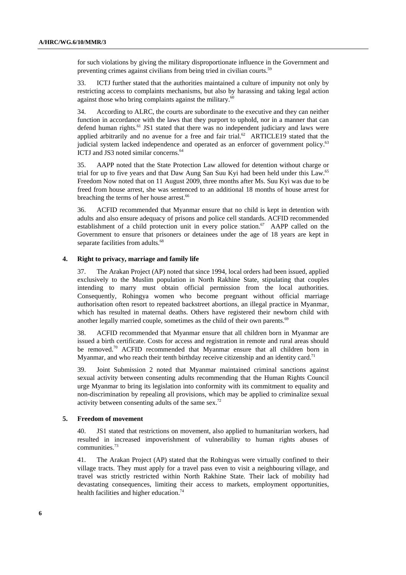for such violations by giving the military disproportionate influence in the Government and preventing crimes against civilians from being tried in civilian courts.<sup>59</sup>

33. ICTJ further stated that the authorities maintained a culture of impunity not only by restricting access to complaints mechanisms, but also by harassing and taking legal action against those who bring complaints against the military.<sup>60</sup>

34. According to ALRC, the courts are subordinate to the executive and they can neither function in accordance with the laws that they purport to uphold, nor in a manner that can defend human rights.<sup>61</sup> JS1 stated that there was no independent judiciary and laws were applied arbitrarily and no avenue for a free and fair trial.<sup>62</sup> ARTICLE19 stated that the judicial system lacked independence and operated as an enforcer of government policy.<sup>63</sup> ICTJ and JS3 noted similar concerns.<sup>64</sup>

35. AAPP noted that the State Protection Law allowed for detention without charge or trial for up to five years and that Daw Aung San Suu Kyi had been held under this Law.<sup>65</sup> Freedom Now noted that on 11 August 2009, three months after Ms. Suu Kyi was due to be freed from house arrest, she was sentenced to an additional 18 months of house arrest for breaching the terms of her house arrest.<sup>66</sup>

36. ACFID recommended that Myanmar ensure that no child is kept in detention with adults and also ensure adequacy of prisons and police cell standards. ACFID recommended establishment of a child protection unit in every police station.<sup>67</sup> AAPP called on the Government to ensure that prisoners or detainees under the age of 18 years are kept in separate facilities from adults.<sup>68</sup>

#### **4. Right to privacy, marriage and family life**

37. The Arakan Project (AP) noted that since 1994, local orders had been issued, applied exclusively to the Muslim population in North Rakhine State, stipulating that couples intending to marry must obtain official permission from the local authorities. Consequently, Rohingya women who become pregnant without official marriage authorisation often resort to repeated backstreet abortions, an illegal practice in Myanmar, which has resulted in maternal deaths. Others have registered their newborn child with another legally married couple, sometimes as the child of their own parents.<sup>69</sup>

38. ACFID recommended that Myanmar ensure that all children born in Myanmar are issued a birth certificate. Costs for access and registration in remote and rural areas should be removed.<sup>70</sup> ACFID recommended that Myanmar ensure that all children born in Myanmar, and who reach their tenth birthday receive citizenship and an identity card.<sup>71</sup>

39. Joint Submission 2 noted that Myanmar maintained criminal sanctions against sexual activity between consenting adults recommending that the Human Rights Council urge Myanmar to bring its legislation into conformity with its commitment to equality and non-discrimination by repealing all provisions, which may be applied to criminalize sexual activity between consenting adults of the same sex.72

### **5. Freedom of movement**

40. JS1 stated that restrictions on movement, also applied to humanitarian workers, had resulted in increased impoverishment of vulnerability to human rights abuses of communities.73

41. The Arakan Project (AP) stated that the Rohingyas were virtually confined to their village tracts. They must apply for a travel pass even to visit a neighbouring village, and travel was strictly restricted within North Rakhine State. Their lack of mobility had devastating consequences, limiting their access to markets, employment opportunities, health facilities and higher education.<sup>74</sup>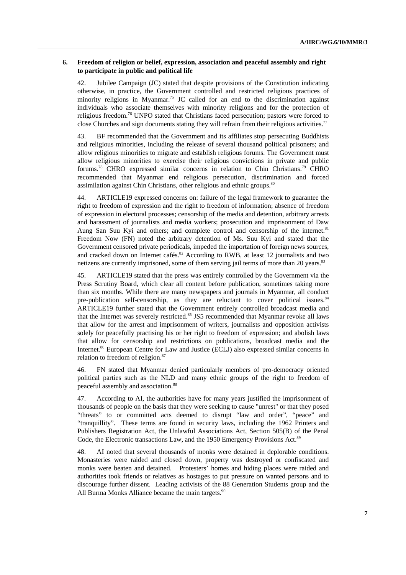#### **6. Freedom of religion or belief, expression, association and peaceful assembly and right to participate in public and political life**

42. Jubilee Campaign (JC) stated that despite provisions of the Constitution indicating otherwise, in practice, the Government controlled and restricted religious practices of minority religions in Myanmar.<sup>75</sup> JC called for an end to the discrimination against individuals who associate themselves with minority religions and for the protection of religious freedom.76 UNPO stated that Christians faced persecution; pastors were forced to close Churches and sign documents stating they will refrain from their religious activities.<sup>77</sup>

43. BF recommended that the Government and its affiliates stop persecuting Buddhists and religious minorities, including the release of several thousand political prisoners; and allow religious minorities to migrate and establish religious forums. The Government must allow religious minorities to exercise their religious convictions in private and public forums.78 CHRO expressed similar concerns in relation to Chin Christians.79 CHRO recommended that Myanmar end religious persecution, discrimination and forced assimilation against Chin Christians, other religious and ethnic groups.<sup>80</sup>

44. ARTICLE19 expressed concerns on: failure of the legal framework to guarantee the right to freedom of expression and the right to freedom of information; absence of freedom of expression in electoral processes; censorship of the media and detention, arbitrary arrests and harassment of journalists and media workers; prosecution and imprisonment of Daw Aung San Suu Kyi and others; and complete control and censorship of the internet.<sup>81</sup> Freedom Now (FN) noted the arbitrary detention of Ms. Suu Kyi and stated that the Government censored private periodicals, impeded the importation of foreign news sources, and cracked down on Internet cafés.<sup>82</sup> According to RWB, at least 12 journalists and two netizens are currently imprisoned, some of them serving jail terms of more than 20 years.<sup>83</sup>

45. ARTICLE19 stated that the press was entirely controlled by the Government via the Press Scrutiny Board, which clear all content before publication, sometimes taking more than six months. While there are many newspapers and journals in Myanmar, all conduct pre-publication self-censorship, as they are reluctant to cover political issues.<sup>84</sup> ARTICLE19 further stated that the Government entirely controlled broadcast media and that the Internet was severely restricted.<sup>85</sup> JS5 recommended that Myanmar revoke all laws that allow for the arrest and imprisonment of writers, journalists and opposition activists solely for peacefully practising his or her right to freedom of expression; and abolish laws that allow for censorship and restrictions on publications, broadcast media and the Internet.<sup>86</sup> European Centre for Law and Justice (ECLJ) also expressed similar concerns in relation to freedom of religion.<sup>87</sup>

46. FN stated that Myanmar denied particularly members of pro-democracy oriented political parties such as the NLD and many ethnic groups of the right to freedom of peaceful assembly and association.88

47. According to AI, the authorities have for many years justified the imprisonment of thousands of people on the basis that they were seeking to cause "unrest" or that they posed "threats" to or committed acts deemed to disrupt "law and order", "peace" and "tranquillity". These terms are found in security laws, including the 1962 Printers and Publishers Registration Act, the Unlawful Associations Act, Section 505(B) of the Penal Code, the Electronic transactions Law, and the 1950 Emergency Provisions Act.<sup>89</sup>

48. AI noted that several thousands of monks were detained in deplorable conditions. Monasteries were raided and closed down, property was destroyed or confiscated and monks were beaten and detained. Protesters' homes and hiding places were raided and authorities took friends or relatives as hostages to put pressure on wanted persons and to discourage further dissent. Leading activists of the 88 Generation Students group and the All Burma Monks Alliance became the main targets.<sup>90</sup>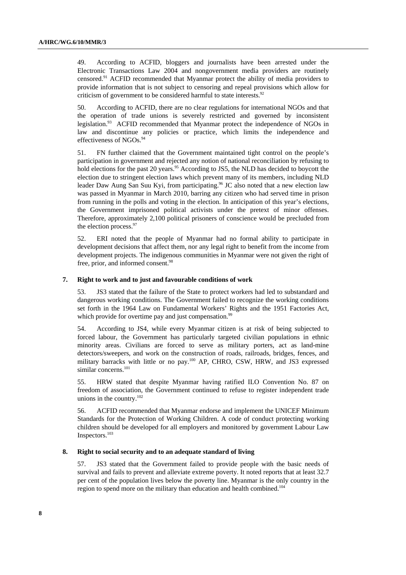49. According to ACFID, bloggers and journalists have been arrested under the Electronic Transactions Law 2004 and nongovernment media providers are routinely censored.91 ACFID recommended that Myanmar protect the ability of media providers to provide information that is not subject to censoring and repeal provisions which allow for criticism of government to be considered harmful to state interests.<sup>92</sup>

50. According to ACFID, there are no clear regulations for international NGOs and that the operation of trade unions is severely restricted and governed by inconsistent legislation.<sup>93</sup> ACFID recommended that Myanmar protect the independence of NGOs in law and discontinue any policies or practice, which limits the independence and effectiveness of NGOs.94

51. FN further claimed that the Government maintained tight control on the people's participation in government and rejected any notion of national reconciliation by refusing to hold elections for the past 20 years.<sup>95</sup> According to JS5, the NLD has decided to boycott the election due to stringent election laws which prevent many of its members, including NLD leader Daw Aung San Suu Kyi, from participating.<sup>96</sup> JC also noted that a new election law was passed in Myanmar in March 2010, barring any citizen who had served time in prison from running in the polls and voting in the election. In anticipation of this year's elections, the Government imprisoned political activists under the pretext of minor offenses. Therefore, approximately 2,100 political prisoners of conscience would be precluded from the election process.<sup>97</sup>

52. ERI noted that the people of Myanmar had no formal ability to participate in development decisions that affect them, nor any legal right to benefit from the income from development projects. The indigenous communities in Myanmar were not given the right of free, prior, and informed consent.<sup>98</sup>

#### **7. Right to work and to just and favourable conditions of work**

53. JS3 stated that the failure of the State to protect workers had led to substandard and dangerous working conditions. The Government failed to recognize the working conditions set forth in the 1964 Law on Fundamental Workers' Rights and the 1951 Factories Act, which provide for overtime pay and just compensation.<sup>99</sup>

54. According to JS4, while every Myanmar citizen is at risk of being subjected to forced labour, the Government has particularly targeted civilian populations in ethnic minority areas. Civilians are forced to serve as military porters, act as land-mine detectors/sweepers, and work on the construction of roads, railroads, bridges, fences, and military barracks with little or no pay.<sup>100</sup> AP, CHRO, CSW, HRW, and JS3 expressed similar concerns.<sup>101</sup>

55. HRW stated that despite Myanmar having ratified ILO Convention No. 87 on freedom of association, the Government continued to refuse to register independent trade unions in the country.<sup>102</sup>

56. ACFID recommended that Myanmar endorse and implement the UNICEF Minimum Standards for the Protection of Working Children. A code of conduct protecting working children should be developed for all employers and monitored by government Labour Law Inspectors.103

#### **8. Right to social security and to an adequate standard of living**

57. JS3 stated that the Government failed to provide people with the basic needs of survival and fails to prevent and alleviate extreme poverty. It noted reports that at least 32.7 per cent of the population lives below the poverty line. Myanmar is the only country in the region to spend more on the military than education and health combined.104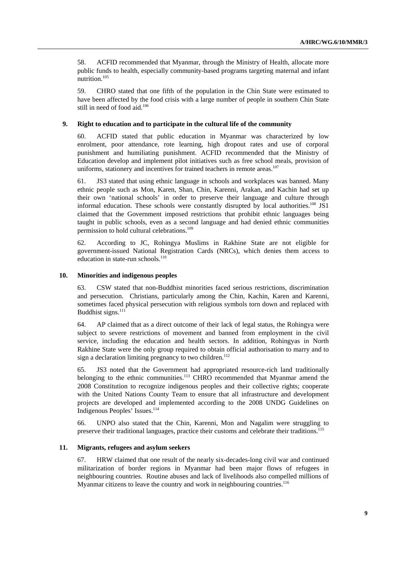58. ACFID recommended that Myanmar, through the Ministry of Health, allocate more public funds to health, especially community-based programs targeting maternal and infant nutrition.105

59. CHRO stated that one fifth of the population in the Chin State were estimated to have been affected by the food crisis with a large number of people in southern Chin State still in need of food aid.<sup>106</sup>

#### **9. Right to education and to participate in the cultural life of the community**

60. ACFID stated that public education in Myanmar was characterized by low enrolment, poor attendance, rote learning, high dropout rates and use of corporal punishment and humiliating punishment. ACFID recommended that the Ministry of Education develop and implement pilot initiatives such as free school meals, provision of uniforms, stationery and incentives for trained teachers in remote areas.<sup>107</sup>

61. JS3 stated that using ethnic language in schools and workplaces was banned. Many ethnic people such as Mon, Karen, Shan, Chin, Karenni, Arakan, and Kachin had set up their own 'national schools' in order to preserve their language and culture through informal education. These schools were constantly disrupted by local authorities.<sup>108</sup> JS1 claimed that the Government imposed restrictions that prohibit ethnic languages being taught in public schools, even as a second language and had denied ethnic communities permission to hold cultural celebrations.<sup>109</sup>

62. According to JC, Rohingya Muslims in Rakhine State are not eligible for government-issued National Registration Cards (NRCs), which denies them access to education in state-run schools. $110$ 

## **10. Minorities and indigenous peoples**

63. CSW stated that non-Buddhist minorities faced serious restrictions, discrimination and persecution. Christians, particularly among the Chin, Kachin, Karen and Karenni, sometimes faced physical persecution with religious symbols torn down and replaced with Buddhist signs.<sup>111</sup>

64. AP claimed that as a direct outcome of their lack of legal status, the Rohingya were subject to severe restrictions of movement and banned from employment in the civil service, including the education and health sectors. In addition, Rohingyas in North Rakhine State were the only group required to obtain official authorisation to marry and to sign a declaration limiting pregnancy to two children. $112$ 

65. JS3 noted that the Government had appropriated resource-rich land traditionally belonging to the ethnic communities.113 CHRO recommended that Myanmar amend the 2008 Constitution to recognize indigenous peoples and their collective rights; cooperate with the United Nations County Team to ensure that all infrastructure and development projects are developed and implemented according to the 2008 UNDG Guidelines on Indigenous Peoples' Issues.<sup>114</sup>

66. UNPO also stated that the Chin, Karenni, Mon and Nagalim were struggling to preserve their traditional languages, practice their customs and celebrate their traditions.115

#### **11. Migrants, refugees and asylum seekers**

67. HRW claimed that one result of the nearly six-decades-long civil war and continued militarization of border regions in Myanmar had been major flows of refugees in neighbouring countries. Routine abuses and lack of livelihoods also compelled millions of Myanmar citizens to leave the country and work in neighbouring countries.<sup>116</sup>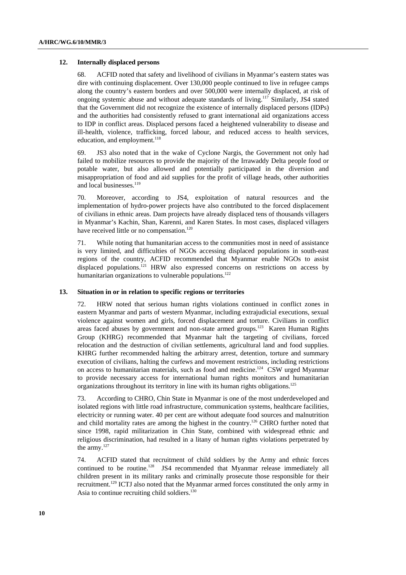#### **12. Internally displaced persons**

68. ACFID noted that safety and livelihood of civilians in Myanmar's eastern states was dire with continuing displacement. Over 130,000 people continued to live in refugee camps along the country's eastern borders and over 500,000 were internally displaced, at risk of ongoing systemic abuse and without adequate standards of living.117 Similarly, JS4 stated that the Government did not recognize the existence of internally displaced persons (IDPs) and the authorities had consistently refused to grant international aid organizations access to IDP in conflict areas. Displaced persons faced a heightened vulnerability to disease and ill-health, violence, trafficking, forced labour, and reduced access to health services, education, and employment.<sup>118</sup>

69. JS3 also noted that in the wake of Cyclone Nargis, the Government not only had failed to mobilize resources to provide the majority of the Irrawaddy Delta people food or potable water, but also allowed and potentially participated in the diversion and misappropriation of food and aid supplies for the profit of village heads, other authorities and local businesses.<sup>119</sup>

70. Moreover, according to JS4, exploitation of natural resources and the implementation of hydro-power projects have also contributed to the forced displacement of civilians in ethnic areas. Dam projects have already displaced tens of thousands villagers in Myanmar's Kachin, Shan, Karenni, and Karen States. In most cases, displaced villagers have received little or no compensation.<sup>120</sup>

71. While noting that humanitarian access to the communities most in need of assistance is very limited, and difficulties of NGOs accessing displaced populations in south-east regions of the country, ACFID recommended that Myanmar enable NGOs to assist displaced populations.<sup>121</sup> HRW also expressed concerns on restrictions on access by humanitarian organizations to vulnerable populations.<sup>122</sup>

#### **13. Situation in or in relation to specific regions or territories**

72. HRW noted that serious human rights violations continued in conflict zones in eastern Myanmar and parts of western Myanmar, including extrajudicial executions, sexual violence against women and girls, forced displacement and torture. Civilians in conflict areas faced abuses by government and non-state armed groups.<sup>123</sup> Karen Human Rights Group (KHRG) recommended that Myanmar halt the targeting of civilians, forced relocation and the destruction of civilian settlements, agricultural land and food supplies. KHRG further recommended halting the arbitrary arrest, detention, torture and summary execution of civilians, halting the curfews and movement restrictions, including restrictions on access to humanitarian materials, such as food and medicine.<sup>124</sup> CSW urged Myanmar to provide necessary access for international human rights monitors and humanitarian organizations throughout its territory in line with its human rights obligations.<sup>125</sup>

73. According to CHRO, Chin State in Myanmar is one of the most underdeveloped and isolated regions with little road infrastructure, communication systems, healthcare facilities, electricity or running water. 40 per cent are without adequate food sources and malnutrition and child mortality rates are among the highest in the country.126 CHRO further noted that since 1998, rapid militarization in Chin State, combined with widespread ethnic and religious discrimination, had resulted in a litany of human rights violations perpetrated by the army.<sup>127</sup>

74. ACFID stated that recruitment of child soldiers by the Army and ethnic forces continued to be routine.<sup>128</sup> JS4 recommended that Myanmar release immediately all children present in its military ranks and criminally prosecute those responsible for their recruitment.129 ICTJ also noted that the Myanmar armed forces constituted the only army in Asia to continue recruiting child soldiers.<sup>130</sup>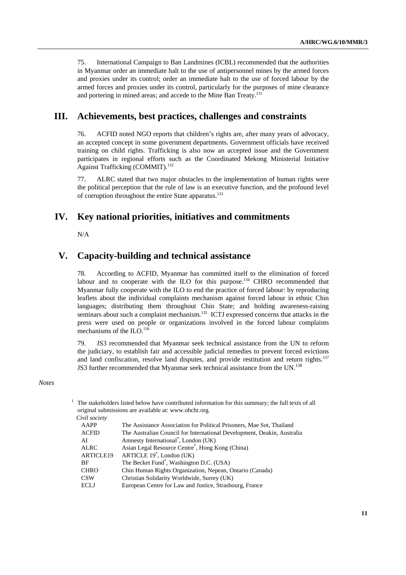75. International Campaign to Ban Landmines (ICBL) recommended that the authorities in Myanmar order an immediate halt to the use of antipersonnel mines by the armed forces and proxies under its control; order an immediate halt to the use of forced labour by the armed forces and proxies under its control, particularly for the purposes of mine clearance and portering in mined areas; and accede to the Mine Ban Treaty.<sup>131</sup>

## **III. Achievements, best practices, challenges and constraints**

76. ACFID noted NGO reports that children's rights are, after many years of advocacy, an accepted concept in some government departments. Government officials have received training on child rights. Trafficking is also now an accepted issue and the Government participates in regional efforts such as the Coordinated Mekong Ministerial Initiative Against Trafficking (COMMIT).<sup>132</sup>

77. ALRC stated that two major obstacles to the implementation of human rights were the political perception that the rule of law is an executive function, and the profound level of corruption throughout the entire State apparatus.<sup>133</sup>

## **IV. Key national priorities, initiatives and commitments**

N/A

## **V. Capacity-building and technical assistance**

78. According to ACFID, Myanmar has committed itself to the elimination of forced labour and to cooperate with the ILO for this purpose.<sup>134</sup> CHRO recommended that Myanmar fully cooperate with the ILO to end the practice of forced labour: by reproducing leaflets about the individual complaints mechanism against forced labour in ethnic Chin languages; distributing them throughout Chin State; and holding awareness-raising seminars about such a complaint mechanism.<sup>135</sup> ICTJ expressed concerns that attacks in the press were used on people or organizations involved in the forced labour complaints mechanisms of the ILO.<sup>136</sup>

79. JS3 recommended that Myanmar seek technical assistance from the UN to reform the judiciary, to establish fair and accessible judicial remedies to prevent forced evictions and land confiscation, resolve land disputes, and provide restitution and return rights.<sup>137</sup> JS3 further recommended that Myanmar seek technical assistance from the UN.<sup>138</sup>

#### *Notes*

| <sup>1</sup> The stakeholders listed below have contributed information for this summary; the full texts of all |
|-----------------------------------------------------------------------------------------------------------------|
| original submissions are available at: www.ohchr.org.                                                           |
| Civil society                                                                                                   |

| ,,,,,,,,,,,      |                                                                         |
|------------------|-------------------------------------------------------------------------|
| AAPP             | The Assistance Association for Political Prisoners, Mae Sot, Thailand   |
| ACFID            | The Australian Council for International Development, Deakin, Australia |
| ΑI               | Amnesty International <sup>*</sup> , London (UK)                        |
| ALRC             | Asian Legal Resource Centre <sup>*</sup> , Hong Kong (China)            |
| <b>ARTICLE19</b> | ARTICLE $19^*$ , London (UK)                                            |
| ВF               | The Becket Fund <sup>*</sup> , Washington D.C. (USA)                    |
| CHRO             | Chin Human Rights Organization, Nepean, Ontario (Canada)                |
| <b>CSW</b>       | Christian Solidarity Worldwide, Surrey (UK)                             |
| ECLJ             | European Centre for Law and Justice, Strasbourg, France                 |
|                  |                                                                         |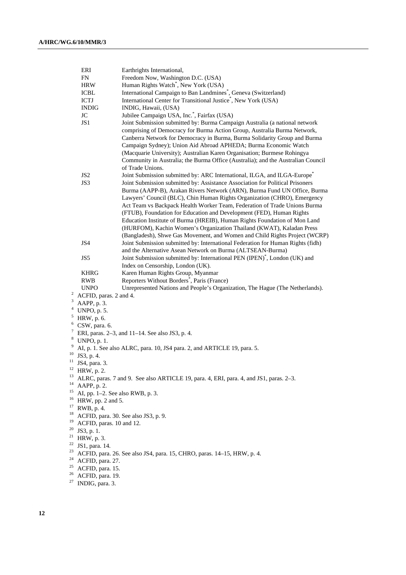|                | ERI                                 | Earthrights International,                                                                                                                                                                                                                                                                                                                                                                                                                                                                                                                                                                                                    |  |  |
|----------------|-------------------------------------|-------------------------------------------------------------------------------------------------------------------------------------------------------------------------------------------------------------------------------------------------------------------------------------------------------------------------------------------------------------------------------------------------------------------------------------------------------------------------------------------------------------------------------------------------------------------------------------------------------------------------------|--|--|
|                | FN                                  | Freedom Now, Washington D.C. (USA)                                                                                                                                                                                                                                                                                                                                                                                                                                                                                                                                                                                            |  |  |
|                | <b>HRW</b>                          | Human Rights Watch <sup>*</sup> , New York (USA)                                                                                                                                                                                                                                                                                                                                                                                                                                                                                                                                                                              |  |  |
|                | <b>ICBL</b>                         | International Campaign to Ban Landmines <sup>*</sup> , Geneva (Switzerland)                                                                                                                                                                                                                                                                                                                                                                                                                                                                                                                                                   |  |  |
|                | $\mbox{ICTJ}$                       | International Center for Transitional Justice®, New York (USA)                                                                                                                                                                                                                                                                                                                                                                                                                                                                                                                                                                |  |  |
|                | <b>INDIG</b>                        | INDIG, Hawaii, (USA)                                                                                                                                                                                                                                                                                                                                                                                                                                                                                                                                                                                                          |  |  |
|                | JC                                  | Jubilee Campaign USA, Inc. , Fairfax (USA)                                                                                                                                                                                                                                                                                                                                                                                                                                                                                                                                                                                    |  |  |
|                | JS1                                 | Joint Submission submitted by: Burma Campaign Australia (a national network<br>comprising of Democracy for Burma Action Group, Australia Burma Network,<br>Canberra Network for Democracy in Burma, Burma Solidarity Group and Burma<br>Campaign Sydney); Union Aid Abroad APHEDA; Burma Economic Watch<br>(Macquarie University); Australian Karen Organisation; Burmese Rohingya<br>Community in Australia; the Burma Office (Australia); and the Australian Council<br>of Trade Unions.                                                                                                                                    |  |  |
|                | JS <sub>2</sub>                     | Joint Submission submitted by: ARC International, ILGA, and ILGA-Europe®                                                                                                                                                                                                                                                                                                                                                                                                                                                                                                                                                      |  |  |
|                | JS3                                 | Joint Submission submitted by: Assistance Association for Political Prisoners<br>Burma (AAPP-B), Arakan Rivers Network (ARN), Burma Fund UN Office, Burma<br>Lawyers' Council (BLC), Chin Human Rights Organization (CHRO), Emergency<br>Act Team vs Backpack Health Worker Team, Federation of Trade Unions Burma<br>(FTUB), Foundation for Education and Development (FED), Human Rights<br>Education Institute of Burma (HREIB), Human Rights Foundation of Mon Land<br>(HURFOM), Kachin Women's Organization Thailand (KWAT), Kaladan Press<br>(Bangladesh), Shwe Gas Movement, and Women and Child Rights Project (WCRP) |  |  |
|                | JS4                                 | Joint Submission submitted by: International Federation for Human Rights (fidh)                                                                                                                                                                                                                                                                                                                                                                                                                                                                                                                                               |  |  |
|                | JS5                                 | and the Alternative Asean Network on Burma (ALTSEAN-Burma)<br>Joint Submission submitted by: International PEN (IPEN) <sup>*</sup> , London (UK) and<br>Index on Censorship, London (UK).                                                                                                                                                                                                                                                                                                                                                                                                                                     |  |  |
|                | <b>KHRG</b>                         | Karen Human Rights Group, Myanmar                                                                                                                                                                                                                                                                                                                                                                                                                                                                                                                                                                                             |  |  |
|                | <b>RWB</b>                          | Reporters Without Borders <sup>*</sup> , Paris (France)                                                                                                                                                                                                                                                                                                                                                                                                                                                                                                                                                                       |  |  |
|                | <b>UNPO</b>                         | Unrepresented Nations and People's Organization, The Hague (The Netherlands).                                                                                                                                                                                                                                                                                                                                                                                                                                                                                                                                                 |  |  |
| $\overline{c}$ | ACFID, paras. 2 and 4.              |                                                                                                                                                                                                                                                                                                                                                                                                                                                                                                                                                                                                                               |  |  |
| 3              | AAPP, p. 3.                         |                                                                                                                                                                                                                                                                                                                                                                                                                                                                                                                                                                                                                               |  |  |
| 4              | UNPO, p. 5.                         |                                                                                                                                                                                                                                                                                                                                                                                                                                                                                                                                                                                                                               |  |  |
|                | $5$ HRW, p. 6.                      |                                                                                                                                                                                                                                                                                                                                                                                                                                                                                                                                                                                                                               |  |  |
| 6              | CSW, para. 6.                       |                                                                                                                                                                                                                                                                                                                                                                                                                                                                                                                                                                                                                               |  |  |
| 7              |                                     | ERI, paras. 2–3, and 11–14. See also JS3, p. 4.                                                                                                                                                                                                                                                                                                                                                                                                                                                                                                                                                                               |  |  |
|                | $8$ UNPO, p. 1.                     |                                                                                                                                                                                                                                                                                                                                                                                                                                                                                                                                                                                                                               |  |  |
| 9              |                                     | AI, p. 1. See also ALRC, para. 10, JS4 para. 2, and ARTICLE 19, para. 5.                                                                                                                                                                                                                                                                                                                                                                                                                                                                                                                                                      |  |  |
| 10             | JS3, p. 4.                          |                                                                                                                                                                                                                                                                                                                                                                                                                                                                                                                                                                                                                               |  |  |
| 11             | JS4, para. 3.                       |                                                                                                                                                                                                                                                                                                                                                                                                                                                                                                                                                                                                                               |  |  |
|                | $12$ HRW, p. 2.                     |                                                                                                                                                                                                                                                                                                                                                                                                                                                                                                                                                                                                                               |  |  |
| 13             |                                     | ALRC, paras. 7 and 9. See also ARTICLE 19, para. 4, ERI, para. 4, and JS1, paras. 2-3.                                                                                                                                                                                                                                                                                                                                                                                                                                                                                                                                        |  |  |
| 14             | AAPP, p. 2.                         |                                                                                                                                                                                                                                                                                                                                                                                                                                                                                                                                                                                                                               |  |  |
| 15             | AI, pp. 1-2. See also RWB, p. 3.    |                                                                                                                                                                                                                                                                                                                                                                                                                                                                                                                                                                                                                               |  |  |
| 16             | HRW, pp. 2 and 5.                   |                                                                                                                                                                                                                                                                                                                                                                                                                                                                                                                                                                                                                               |  |  |
| 17             | RWB, p. 4.                          |                                                                                                                                                                                                                                                                                                                                                                                                                                                                                                                                                                                                                               |  |  |
| 18             |                                     | ACFID, para. 30. See also JS3, p. 9.                                                                                                                                                                                                                                                                                                                                                                                                                                                                                                                                                                                          |  |  |
| 19             | ACFID, paras. 10 and 12.            |                                                                                                                                                                                                                                                                                                                                                                                                                                                                                                                                                                                                                               |  |  |
| 20             | JS3, p. 1.                          |                                                                                                                                                                                                                                                                                                                                                                                                                                                                                                                                                                                                                               |  |  |
| 21             | HRW, p. 3.                          |                                                                                                                                                                                                                                                                                                                                                                                                                                                                                                                                                                                                                               |  |  |
| 22             | JS1, para. 14.                      |                                                                                                                                                                                                                                                                                                                                                                                                                                                                                                                                                                                                                               |  |  |
| 23             |                                     | ACFID, para. 26. See also JS4, para. 15, CHRO, paras. 14-15, HRW, p. 4.                                                                                                                                                                                                                                                                                                                                                                                                                                                                                                                                                       |  |  |
| 24             | ACFID, para. 27.                    |                                                                                                                                                                                                                                                                                                                                                                                                                                                                                                                                                                                                                               |  |  |
| 25<br>26       | ACFID, para. 15.                    |                                                                                                                                                                                                                                                                                                                                                                                                                                                                                                                                                                                                                               |  |  |
| 27             | ACFID, para. 19.<br>INDIG, para. 3. |                                                                                                                                                                                                                                                                                                                                                                                                                                                                                                                                                                                                                               |  |  |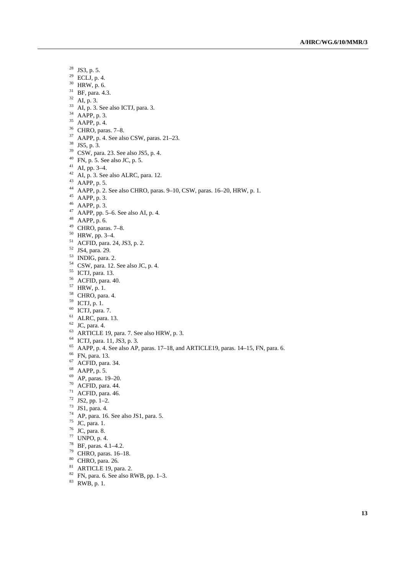- 28 JS3, p. 5.
- $29$  ECLJ, p. 4.
- 30 HRW, p. 6.
- 31 BF, para. 4.3.
- $32$  AI, p. 3.
- $33$  AI, p. 3. See also ICTJ, para. 3.
- $34$  AAPP, p. 3.
- 35 AAPP, p. 4.
- 36 CHRO, paras. 7–8.
- $37$  AAPP, p. 4. See also CSW, paras. 21–23.
- 38 JS5, p. 3.
- $39$  CSW, para. 23. See also JS5, p. 4.
- $40$  FN, p. 5. See also JC, p. 5.
- 41 AI, pp. 3–4.
- $42$  AI, p. 3. See also ALRC, para. 12.
- $43$  AAPP, p. 5.
- <sup>44</sup> AAPP, p. 2. See also CHRO, paras. 9–10, CSW, paras. 16–20, HRW, p. 1.<br><sup>45</sup> AAPP, p. 3.
- 
- 46 AAPP, p. 3.
- $^{47}$  AAPP, pp. 5–6. See also AI, p. 4.
- 48 AAPP, p. 6.
- $49$  CHRO, paras. 7–8.
- 50 HRW, pp. 3–4.
- 51 ACFID, para. 24, JS3, p. 2.
- 52 JS4, para. 29.
- <sup>53</sup> INDIG, para. 2.
- 54 CSW, para. 12. See also JC, p. 4.
- 55 ICTJ, para. 13.
- 56 ACFID, para. 40.
- 57 HRW, p. 1.
- 58 CHRO, para. 4.
- 59 ICTJ, p. 1.
- 60 ICTJ, para. 7.
- 61 ALRC, para. 13.
- $62$  JC, para. 4.
- $63$  ARTICLE 19, para. 7. See also HRW, p. 3.
- 64 ICTJ, para. 11, JS3, p. 3.
- <sup>65</sup> AAPP, p. 4. See also AP, paras. 17–18, and ARTICLE19, paras. 14–15, FN, para. 6. <sup>66</sup> FN, para. 13.
- 
- 67 ACFID, para. 34.
- 68 AAPP, p. 5.
- 69 AP, paras. 19–20.
- 70 ACFID, para. 44.
- $71$  ACFID, para. 46.
- $72$  JS2, pp. 1-2.
- 73 JS1, para. 4.
- 
- 74 AP, para. 16. See also JS1, para. 5.
- 75 JC, para. 1.
- 76 JC, para. 8.
- 77 UNPO, p. 4.
- 78 BF, paras. 4.1–4.2.
- 79 CHRO, paras. 16–18.
- 80 CHRO, para. 26.
- 81 ARTICLE 19, para. 2.
- $82$  FN, para. 6. See also RWB, pp. 1–3.
- 83 RWB, p. 1.